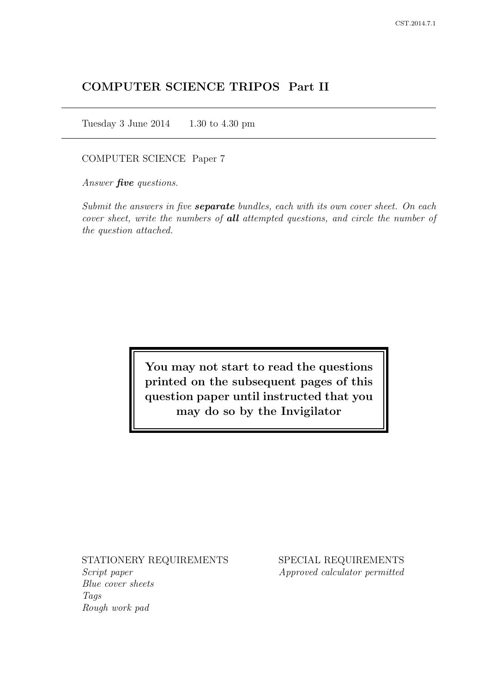# COMPUTER SCIENCE TRIPOS Part II

Tuesday 3 June 2014 1.30 to 4.30 pm

COMPUTER SCIENCE Paper 7

Answer *five* questions.

Submit the answers in five **separate** bundles, each with its own cover sheet. On each cover sheet, write the numbers of **all** attempted questions, and circle the number of the question attached.

> You may not start to read the questions printed on the subsequent pages of this question paper until instructed that you may do so by the Invigilator

STATIONERY REQUIREMENTS

Script paper Blue cover sheets Tags Rough work pad

SPECIAL REQUIREMENTS Approved calculator permitted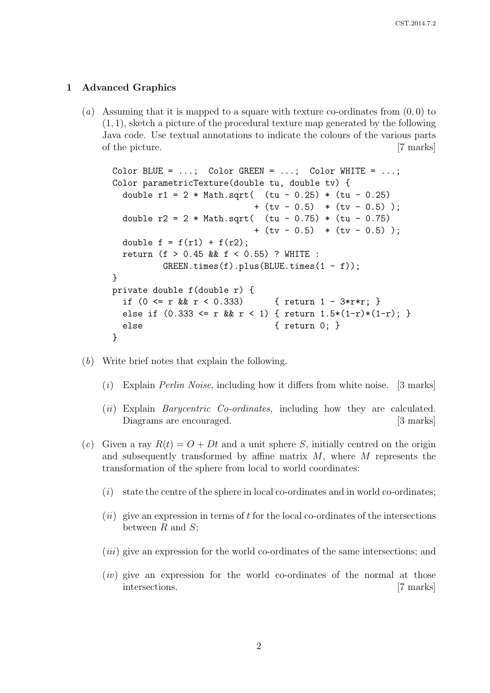#### 1 Advanced Graphics

(a) Assuming that it is mapped to a square with texture co-ordinates from  $(0, 0)$  to  $(1, 1)$ , sketch a picture of the procedural texture map generated by the following Java code. Use textual annotations to indicate the colours of the various parts of the picture. [7 marks]

```
Color BLUE = \dots; Color GREEN = \dots; Color WHITE = \dots;
Color parametricTexture(double tu, double tv) {
  double r1 = 2 * Math.sqrt( (tu - 0.25) * (tu - 0.25)
                           + (tv - 0.5) * (tv - 0.5) );
  double r2 = 2 * Math.sqrt( (tu - 0.75) * (tu - 0.75)
                           + (tv - 0.5) * (tv - 0.5) );
  double f = f(r1) + f(r2);
  return (f > 0.45 && f < 0.55) ? WHITE :
          GREFN.times(f).plus(BLUE.times(1 - f));}
private double f(double r) {
  if (0 \leq r \& r \leq 0.333) { return 1 - 3*rr; }
  else if (0.333 \le r \le r \le r \le 1) { return 1.5*(1-r)*(1-r); }
  else { return 0; }
}
```
- (b) Write brief notes that explain the following.
	- $(i)$  Explain *Perlin Noise*, including how it differs from white noise. [3 marks]
	- (*ii*) Explain *Barycentric Co-ordinates*, including how they are calculated. Diagrams are encouraged. [3 marks]
- (c) Given a ray  $R(t) = O + Dt$  and a unit sphere S, initially centred on the origin and subsequently transformed by affine matrix  $M$ , where  $M$  represents the transformation of the sphere from local to world coordinates:
	- $(i)$  state the centre of the sphere in local co-ordinates and in world co-ordinates;
	- $(ii)$  give an expression in terms of t for the local co-ordinates of the intersections between  $R$  and  $S$ ;
	- (iii) give an expression for the world co-ordinates of the same intersections; and
	- $(iv)$  give an expression for the world co-ordinates of the normal at those intersections. [7 marks]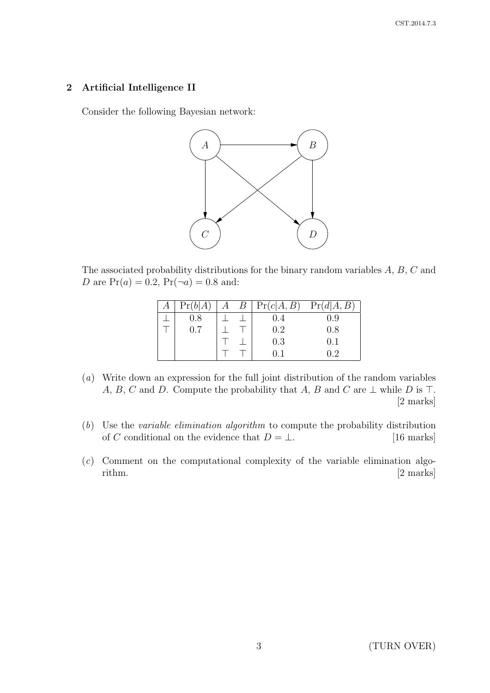# 2 Artificial Intelligence II

Consider the following Bayesian network:



The associated probability distributions for the binary random variables A, B, C and D are  $Pr(a) = 0.2$ ,  $Pr(\neg a) = 0.8$  and:

| Pr(b A)       |  | $A \quad B \mid Pr(c A, B) \quad Pr(d A, B)$ |     |
|---------------|--|----------------------------------------------|-----|
| 0.8           |  | 0.4                                          | 0.9 |
| $0.7^{\circ}$ |  | 0.2                                          | 0.8 |
|               |  | 0.3                                          | 0.1 |
|               |  | () I                                         | 0.2 |

- (a) Write down an expression for the full joint distribution of the random variables A, B, C and D. Compute the probability that A, B and C are  $\perp$  while D is T. [2 marks]
- (b) Use the variable elimination algorithm to compute the probability distribution of C conditional on the evidence that  $D = \bot$ . [16 marks]
- $(c)$  Comment on the computational complexity of the variable elimination algorithm. [2 marks]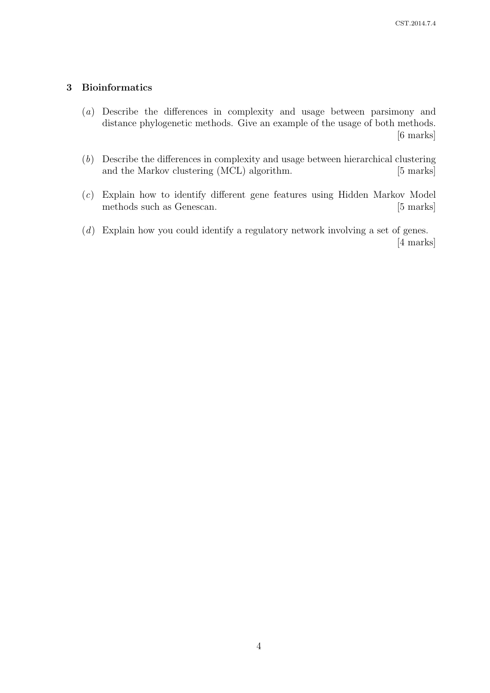# 3 Bioinformatics

- (a) Describe the differences in complexity and usage between parsimony and distance phylogenetic methods. Give an example of the usage of both methods. [6 marks]
- (b) Describe the differences in complexity and usage between hierarchical clustering and the Markov clustering (MCL) algorithm. [5 marks]
- (c) Explain how to identify different gene features using Hidden Markov Model methods such as Genescan. [5 marks]
- (d) Explain how you could identify a regulatory network involving a set of genes. [4 marks]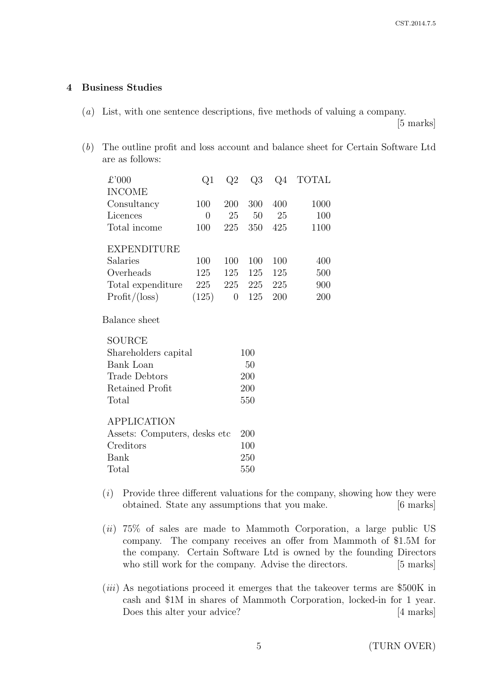### 4 Business Studies

(a) List, with one sentence descriptions, five methods of valuing a company.

[5 marks]

(b) The outline profit and loss account and balance sheet for Certain Software Ltd are as follows:

| £'000                         | Q1             | Q2             | Q3      | Q4  | <b>TOTAL</b> |
|-------------------------------|----------------|----------------|---------|-----|--------------|
| <b>INCOME</b>                 |                |                |         |     |              |
| Consultancy                   | 100            | 200            | 300     | 400 | 1000         |
| Licences                      | $\overline{0}$ | 25             | 50      | 25  | 100          |
| Total income                  | 100            | 225            | 350     | 425 | 1100         |
| <b>EXPENDITURE</b>            |                |                |         |     |              |
| Salaries                      | 100            | 100            | 100     | 100 | 400          |
| Overheads                     | 125            | 125            | 125     | 125 | 500          |
| Total expenditure             | 225            |                | 225 225 | 225 | 900          |
| $Profit/(\text{loss})$        | (125)          | $\overline{0}$ | 125     | 200 | 200          |
| Balance sheet                 |                |                |         |     |              |
| <b>SOURCE</b>                 |                |                |         |     |              |
| Shareholders capital          |                |                | 100     |     |              |
| Bank Loan                     |                |                | 50      |     |              |
| Trade Debtors                 |                |                | 200     |     |              |
| Retained Profit               |                |                | 200     |     |              |
| Total                         |                |                | 550     |     |              |
| <b>APPLICATION</b>            |                |                |         |     |              |
| Assets: Computers, desks etc. |                |                | 200     |     |              |
| Creditors                     |                | 100            |         |     |              |
| Bank                          |                | 250            |         |     |              |

Total 550

- $(i)$  Provide three different valuations for the company, showing how they were obtained. State any assumptions that you make. [6 marks]
- $(ii)$  75% of sales are made to Mammoth Corporation, a large public US company. The company receives an offer from Mammoth of \$1.5M for the company. Certain Software Ltd is owned by the founding Directors who still work for the company. Advise the directors. [5 marks]
- (*iii*) As negotiations proceed it emerges that the takeover terms are \$500K in cash and \$1M in shares of Mammoth Corporation, locked-in for 1 year. Does this alter your advice? [4 marks]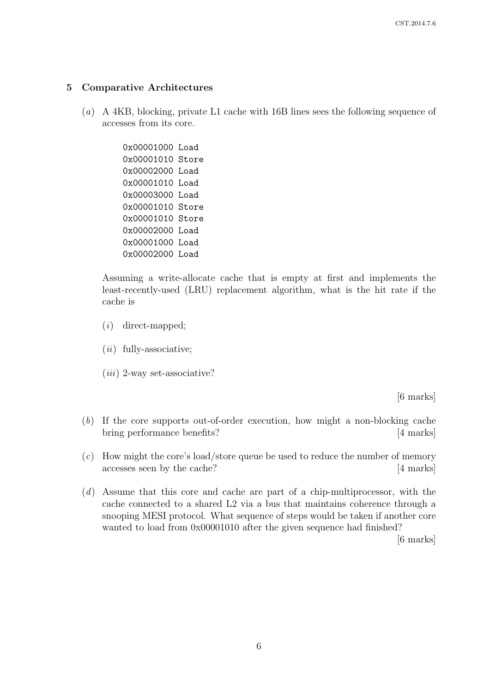### 5 Comparative Architectures

(a) A 4KB, blocking, private L1 cache with 16B lines sees the following sequence of accesses from its core.

> 0x00001000 Load 0x00001010 Store 0x00002000 Load 0x00001010 Load 0x00003000 Load 0x00001010 Store 0x00001010 Store 0x00002000 Load 0x00001000 Load 0x00002000 Load

Assuming a write-allocate cache that is empty at first and implements the least-recently-used (LRU) replacement algorithm, what is the hit rate if the cache is

- (i) direct-mapped;
- $(ii)$  fully-associative;
- $(iii)$  2-way set-associative?

[6 marks]

- (b) If the core supports out-of-order execution, how might a non-blocking cache bring performance benefits? [4 marks]
- (c) How might the core's load/store queue be used to reduce the number of memory accesses seen by the cache? [4 marks]
- (d) Assume that this core and cache are part of a chip-multiprocessor, with the cache connected to a shared L2 via a bus that maintains coherence through a snooping MESI protocol. What sequence of steps would be taken if another core wanted to load from 0x00001010 after the given sequence had finished?

[6 marks]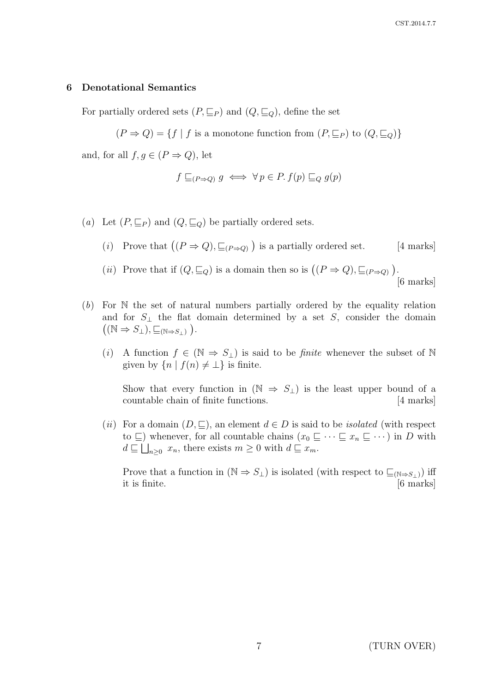### 6 Denotational Semantics

For partially ordered sets  $(P, \subseteq_P)$  and  $(Q, \subseteq_Q)$ , define the set

 $(P \Rightarrow Q) = \{f | f \text{ is a monotone function from } (P, \sqsubseteq_P) \text{ to } (Q, \sqsubseteq_Q) \}$ 

and, for all  $f, g \in (P \Rightarrow Q)$ , let

$$
f \sqsubseteq_{(P \Rightarrow Q)} g \iff \forall p \in P. f(p) \sqsubseteq_Q g(p)
$$

(a) Let  $(P, \sqsubseteq_P)$  and  $(Q, \sqsubseteq_Q)$  be partially ordered sets.

- (*i*) Prove that  $((P \Rightarrow Q), \sqsubseteq_{(P \Rightarrow Q)})$  is a partially ordered set. [4 marks]
- (*ii*) Prove that if  $(Q, \underline{\sqsubseteq}_Q)$  is a domain then so is  $((P \Rightarrow Q), \underline{\sqsubseteq}_{(P \Rightarrow Q)})$ . [6 marks]

(b) For N the set of natural numbers partially ordered by the equality relation and for  $S_{\perp}$  the flat domain determined by a set S, consider the domain  $((\mathbb{N} \Rightarrow S_{\perp}), \sqsubseteq_{(\mathbb{N} \Rightarrow S_{\perp})}).$ 

(i) A function  $f \in (\mathbb{N} \Rightarrow S_{\perp})$  is said to be *finite* whenever the subset of N given by  $\{n \mid f(n) \neq \bot\}$  is finite.

Show that every function in  $(N \Rightarrow S_+)$  is the least upper bound of a countable chain of finite functions. [4 marks]

(ii) For a domain  $(D, \subseteq)$ , an element  $d \in D$  is said to be *isolated* (with respect to  $\subseteq$ ) whenever, for all countable chains  $(x_0 \sqsubseteq \cdots \sqsubseteq x_n \sqsubseteq \cdots)$  in D with  $d \sqsubseteq \bigsqcup_{n \geq 0} x_n$ , there exists  $m \geq 0$  with  $d \sqsubseteq x_m$ .

Prove that a function in  $(N \Rightarrow S_{\perp})$  is isolated (with respect to  $\subseteq_{(N \Rightarrow S_{\perp})}$ ) iff it is finite. [6 marks]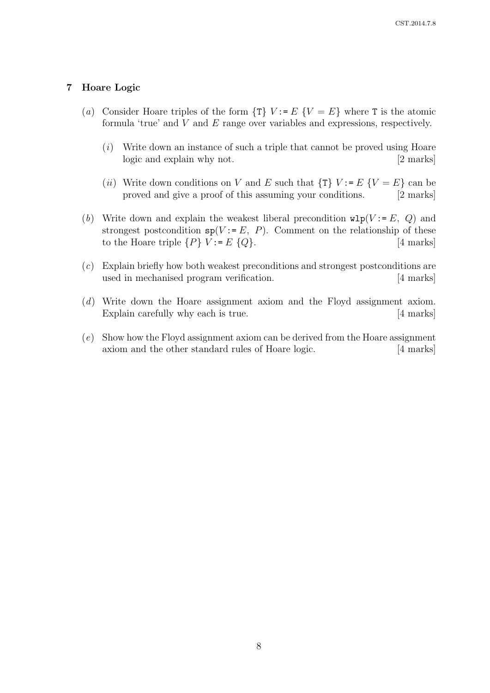### 7 Hoare Logic

- (a) Consider Hoare triples of the form  $\{T\}$   $V := E$   $\{V = E\}$  where T is the atomic formula 'true' and V and E range over variables and expressions, respectively.
	- (i) Write down an instance of such a triple that cannot be proved using Hoare logic and explain why not. [2 marks]
	- (ii) Write down conditions on V and E such that  $\{T\}$  V:= E  $\{V = E\}$  can be proved and give a proof of this assuming your conditions. [2 marks]
- (b) Write down and explain the weakest liberal precondition  $\text{wlp}(V := E, Q)$  and strongest postcondition  $sp(V := E, P)$ . Comment on the relationship of these to the Hoare triple  $\{P\}$   $V := E \{Q\}.$  [4 marks]
- (c) Explain briefly how both weakest preconditions and strongest postconditions are used in mechanised program verification. [4 marks]
- (d) Write down the Hoare assignment axiom and the Floyd assignment axiom. Explain carefully why each is true. [4 marks]
- (e) Show how the Floyd assignment axiom can be derived from the Hoare assignment axiom and the other standard rules of Hoare logic. [4 marks]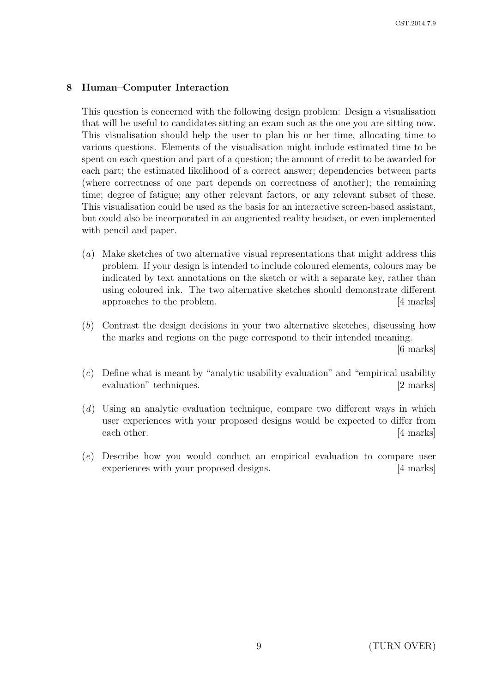#### 8 Human–Computer Interaction

This question is concerned with the following design problem: Design a visualisation that will be useful to candidates sitting an exam such as the one you are sitting now. This visualisation should help the user to plan his or her time, allocating time to various questions. Elements of the visualisation might include estimated time to be spent on each question and part of a question; the amount of credit to be awarded for each part; the estimated likelihood of a correct answer; dependencies between parts (where correctness of one part depends on correctness of another); the remaining time; degree of fatigue; any other relevant factors, or any relevant subset of these. This visualisation could be used as the basis for an interactive screen-based assistant, but could also be incorporated in an augmented reality headset, or even implemented with pencil and paper.

- (a) Make sketches of two alternative visual representations that might address this problem. If your design is intended to include coloured elements, colours may be indicated by text annotations on the sketch or with a separate key, rather than using coloured ink. The two alternative sketches should demonstrate different approaches to the problem. [4 marks]
- (b) Contrast the design decisions in your two alternative sketches, discussing how the marks and regions on the page correspond to their intended meaning.

[6 marks]

- (c) Define what is meant by "analytic usability evaluation" and "empirical usability evaluation" techniques. [2 marks]
- (d) Using an analytic evaluation technique, compare two different ways in which user experiences with your proposed designs would be expected to differ from each other. [4 marks]
- (e) Describe how you would conduct an empirical evaluation to compare user experiences with your proposed designs. [4 marks]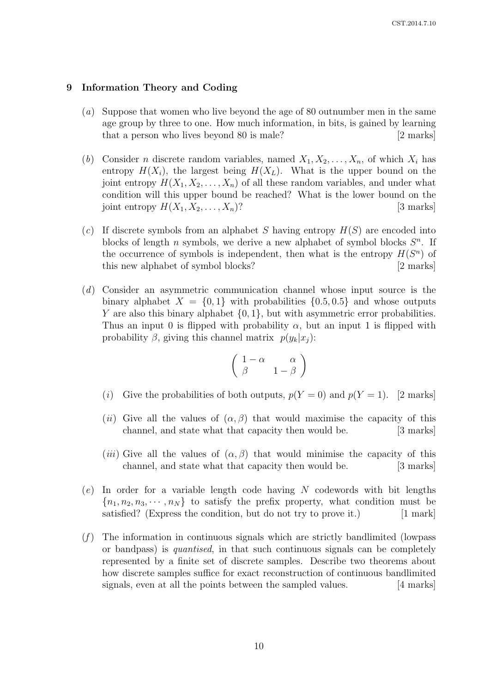#### 9 Information Theory and Coding

- (a) Suppose that women who live beyond the age of 80 outnumber men in the same age group by three to one. How much information, in bits, is gained by learning that a person who lives beyond 80 is male? [2 marks]
- (b) Consider *n* discrete random variables, named  $X_1, X_2, \ldots, X_n$ , of which  $X_i$  has entropy  $H(X_i)$ , the largest being  $H(X_L)$ . What is the upper bound on the joint entropy  $H(X_1, X_2, \ldots, X_n)$  of all these random variables, and under what condition will this upper bound be reached? What is the lower bound on the joint entropy  $H(X_1, X_2, \ldots, X_n)$ ? [3 marks]
- (c) If discrete symbols from an alphabet S having entropy  $H(S)$  are encoded into blocks of length n symbols, we derive a new alphabet of symbol blocks  $S<sup>n</sup>$ . If the occurrence of symbols is independent, then what is the entropy  $H(S^n)$  of this new alphabet of symbol blocks? [2 marks]
- (d) Consider an asymmetric communication channel whose input source is the binary alphabet  $X = \{0, 1\}$  with probabilities  $\{0.5, 0.5\}$  and whose outputs Y are also this binary alphabet  $\{0, 1\}$ , but with asymmetric error probabilities. Thus an input 0 is flipped with probability  $\alpha$ , but an input 1 is flipped with probability  $\beta$ , giving this channel matrix  $p(y_k|x_i)$ :

$$
\left(\begin{array}{cc} 1-\alpha & \alpha \\ \beta & 1-\beta \end{array}\right)
$$

- (i) Give the probabilities of both outputs,  $p(Y = 0)$  and  $p(Y = 1)$ . [2 marks]
- (ii) Give all the values of  $(\alpha, \beta)$  that would maximise the capacity of this channel, and state what that capacity then would be. [3 marks]
- (*iii*) Give all the values of  $(\alpha, \beta)$  that would minimise the capacity of this channel, and state what that capacity then would be. [3 marks]
- $(e)$  In order for a variable length code having N codewords with bit lengths  ${n_1, n_2, n_3, \cdots, n_N}$  to satisfy the prefix property, what condition must be satisfied? (Express the condition, but do not try to prove it.) [1 mark]
- $(f)$  The information in continuous signals which are strictly bandlimited (lowpass or bandpass) is quantised, in that such continuous signals can be completely represented by a finite set of discrete samples. Describe two theorems about how discrete samples suffice for exact reconstruction of continuous bandlimited signals, even at all the points between the sampled values. [4 marks]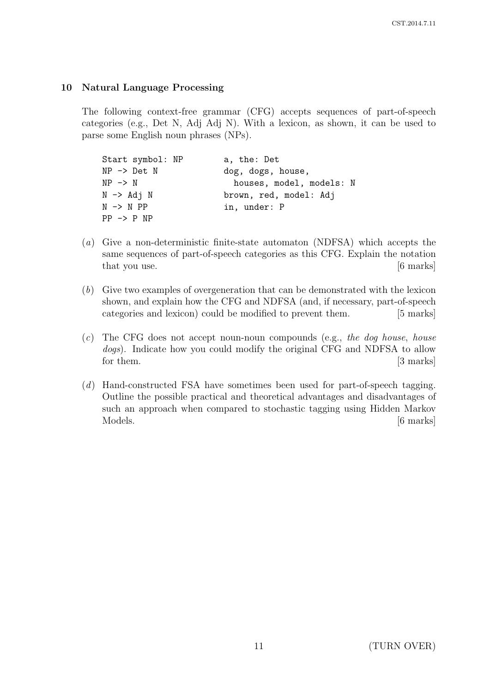# 10 Natural Language Processing

The following context-free grammar (CFG) accepts sequences of part-of-speech categories (e.g., Det N, Adj Adj N). With a lexicon, as shown, it can be used to parse some English noun phrases (NPs).

| Start symbol: NP       | a, the: Det              |
|------------------------|--------------------------|
| $NP \rightarrow Det N$ | dog, dogs, house,        |
| $NP \rightarrow N$     | houses, model, models: N |
| $N \rightarrow Adj N$  | brown, red, model: Adj   |
| $N \rightarrow N PP$   | in, under: P             |
| $PP \rightarrow P NP$  |                          |

- (a) Give a non-deterministic finite-state automaton (NDFSA) which accepts the same sequences of part-of-speech categories as this CFG. Explain the notation that you use. [6 marks]
- (b) Give two examples of overgeneration that can be demonstrated with the lexicon shown, and explain how the CFG and NDFSA (and, if necessary, part-of-speech categories and lexicon) could be modified to prevent them. [5 marks]
- $(c)$  The CFG does not accept noun-noun compounds (e.g., the dog house, house dogs). Indicate how you could modify the original CFG and NDFSA to allow for them. [3 marks]
- (d) Hand-constructed FSA have sometimes been used for part-of-speech tagging. Outline the possible practical and theoretical advantages and disadvantages of such an approach when compared to stochastic tagging using Hidden Markov Models. [6 marks]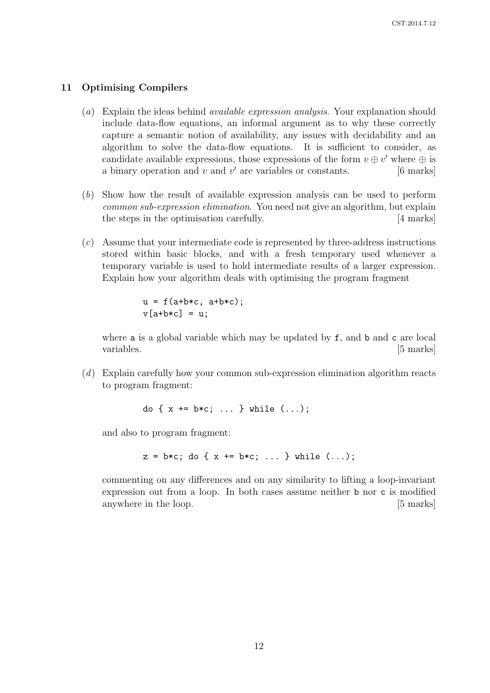#### 11 Optimising Compilers

- (a) Explain the ideas behind available expression analysis. Your explanation should include data-flow equations, an informal argument as to why these correctly capture a semantic notion of availability, any issues with decidability and an algorithm to solve the data-flow equations. It is sufficient to consider, as candidate available expressions, those expressions of the form  $v \oplus v'$  where  $\oplus$  is a binary operation and  $v$  and  $v'$  are variables or constants. [6 marks]
- (b) Show how the result of available expression analysis can be used to perform common sub-expression elimination. You need not give an algorithm, but explain the steps in the optimisation carefully. [4 marks]
- (c) Assume that your intermediate code is represented by three-address instructions stored within basic blocks, and with a fresh temporary used whenever a temporary variable is used to hold intermediate results of a larger expression. Explain how your algorithm deals with optimising the program fragment

 $u = f(a+b*c, a+b*c);$  $v[a+b*c] = u$ ;

where a is a global variable which may be updated by f, and b and c are local variables. [5 marks]

(d) Explain carefully how your common sub-expression elimination algorithm reacts to program fragment:

do {  $x == b*c; ...$  } while  $(...);$ 

and also to program fragment:

 $z = b*c$ ; do {  $x == b*c$ ; ... } while  $(...);$ 

commenting on any differences and on any similarity to lifting a loop-invariant expression out from a loop. In both cases assume neither b nor c is modified anywhere in the loop. [5 marks]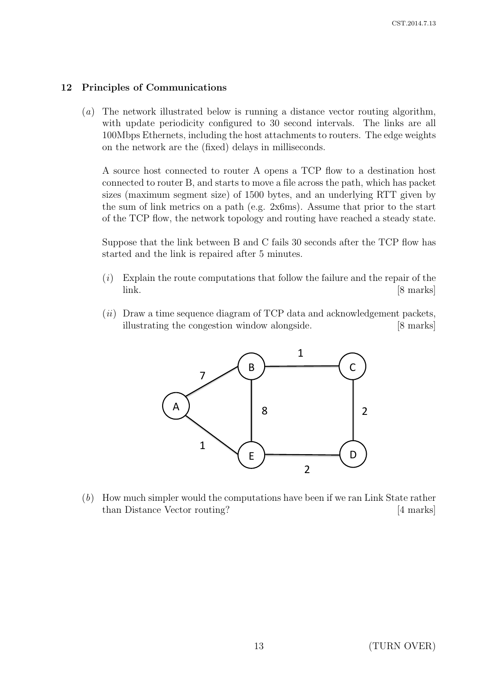### 12 Principles of Communications

(a) The network illustrated below is running a distance vector routing algorithm, with update periodicity configured to 30 second intervals. The links are all 100Mbps Ethernets, including the host attachments to routers. The edge weights on the network are the (fixed) delays in milliseconds.

A source host connected to router A opens a TCP flow to a destination host connected to router B, and starts to move a file across the path, which has packet sizes (maximum segment size) of 1500 bytes, and an underlying RTT given by the sum of link metrics on a path (e.g. 2x6ms). Assume that prior to the start of the TCP flow, the network topology and routing have reached a steady state.

Suppose that the link between B and C fails 30 seconds after the TCP flow has started and the link is repaired after 5 minutes.

- $(i)$  Explain the route computations that follow the failure and the repair of the link. [8 marks]
- $(ii)$  Draw a time sequence diagram of TCP data and acknowledgement packets, illustrating the congestion window alongside. [8 marks]



(b) How much simpler would the computations have been if we ran Link State rather than Distance Vector routing? [4 marks]